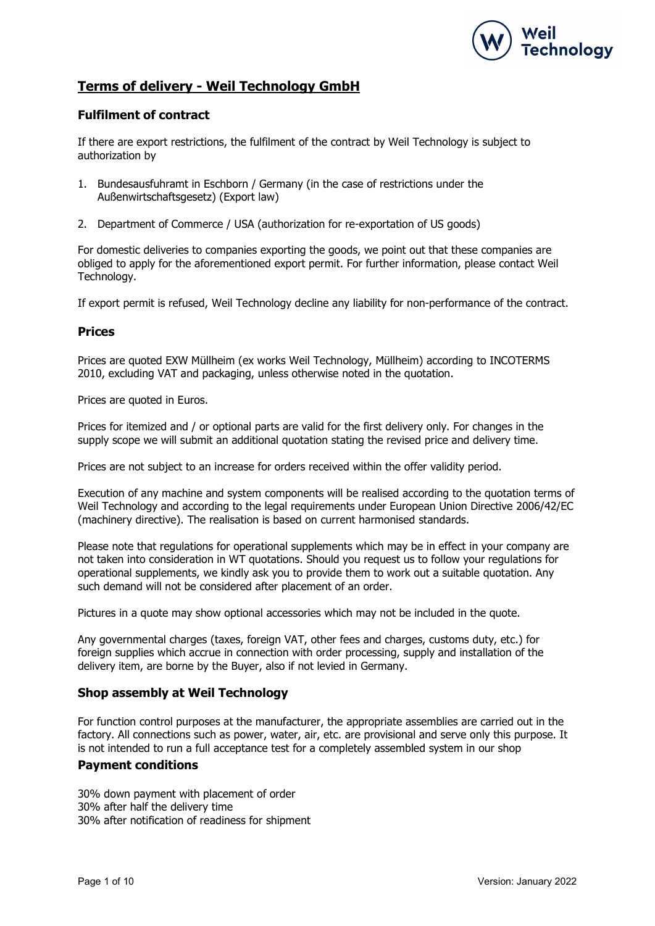

# Terms of delivery - Weil Technology GmbH

# Fulfilment of contract

If there are export restrictions, the fulfilment of the contract by Weil Technology is subject to authorization by

- 1. Bundesausfuhramt in Eschborn / Germany (in the case of restrictions under the Außenwirtschaftsgesetz) (Export law)
- 2. Department of Commerce / USA (authorization for re-exportation of US goods)

For domestic deliveries to companies exporting the goods, we point out that these companies are obliged to apply for the aforementioned export permit. For further information, please contact Weil Technology.

If export permit is refused, Weil Technology decline any liability for non-performance of the contract.

### Prices

Prices are quoted EXW Müllheim (ex works Weil Technology, Müllheim) according to INCOTERMS 2010, excluding VAT and packaging, unless otherwise noted in the quotation.

Prices are quoted in Euros.

Prices for itemized and / or optional parts are valid for the first delivery only. For changes in the supply scope we will submit an additional quotation stating the revised price and delivery time.

Prices are not subject to an increase for orders received within the offer validity period.

Execution of any machine and system components will be realised according to the quotation terms of Weil Technology and according to the legal requirements under European Union Directive 2006/42/EC (machinery directive). The realisation is based on current harmonised standards.

Please note that regulations for operational supplements which may be in effect in your company are not taken into consideration in WT quotations. Should you request us to follow your regulations for operational supplements, we kindly ask you to provide them to work out a suitable quotation. Any such demand will not be considered after placement of an order.

Pictures in a quote may show optional accessories which may not be included in the quote.

Any governmental charges (taxes, foreign VAT, other fees and charges, customs duty, etc.) for foreign supplies which accrue in connection with order processing, supply and installation of the delivery item, are borne by the Buyer, also if not levied in Germany.

# Shop assembly at Weil Technology

For function control purposes at the manufacturer, the appropriate assemblies are carried out in the factory. All connections such as power, water, air, etc. are provisional and serve only this purpose. It is not intended to run a full acceptance test for a completely assembled system in our shop

### Payment conditions

30% down payment with placement of order 30% after half the delivery time 30% after notification of readiness for shipment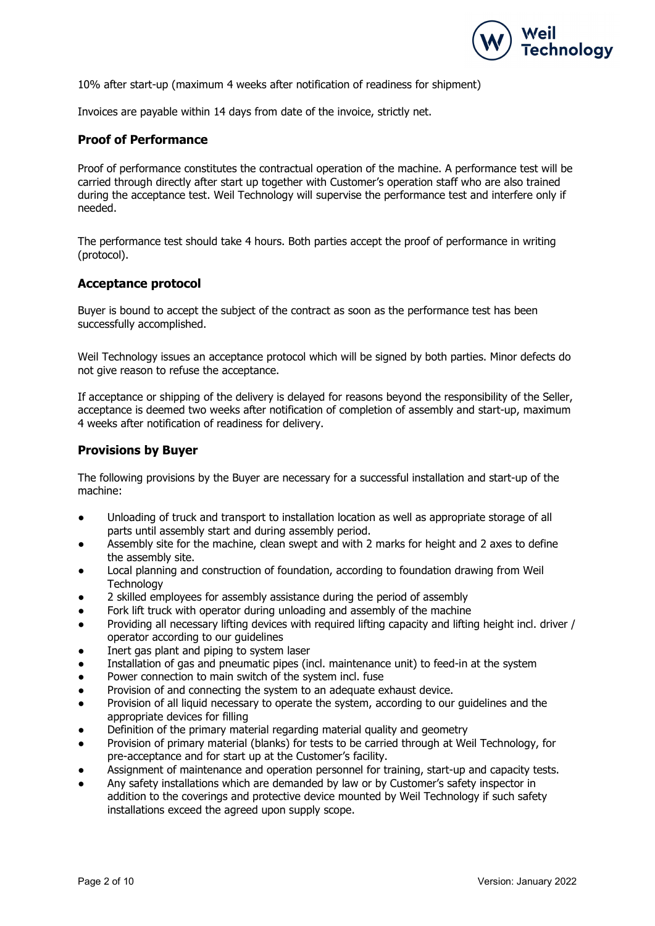

10% after start-up (maximum 4 weeks after notification of readiness for shipment)

Invoices are payable within 14 days from date of the invoice, strictly net.

### Proof of Performance

Proof of performance constitutes the contractual operation of the machine. A performance test will be carried through directly after start up together with Customer's operation staff who are also trained during the acceptance test. Weil Technology will supervise the performance test and interfere only if needed.

The performance test should take 4 hours. Both parties accept the proof of performance in writing (protocol).

### Acceptance protocol

Buyer is bound to accept the subject of the contract as soon as the performance test has been successfully accomplished.

Weil Technology issues an acceptance protocol which will be signed by both parties. Minor defects do not give reason to refuse the acceptance.

If acceptance or shipping of the delivery is delayed for reasons beyond the responsibility of the Seller, acceptance is deemed two weeks after notification of completion of assembly and start-up, maximum 4 weeks after notification of readiness for delivery.

### Provisions by Buyer

The following provisions by the Buyer are necessary for a successful installation and start-up of the machine:

- Unloading of truck and transport to installation location as well as appropriate storage of all parts until assembly start and during assembly period.
- Assembly site for the machine, clean swept and with 2 marks for height and 2 axes to define the assembly site.
- Local planning and construction of foundation, according to foundation drawing from Weil **Technology**
- 2 skilled employees for assembly assistance during the period of assembly
- Fork lift truck with operator during unloading and assembly of the machine
- Providing all necessary lifting devices with required lifting capacity and lifting height incl. driver / operator according to our guidelines
- Inert gas plant and piping to system laser
- Installation of gas and pneumatic pipes (incl. maintenance unit) to feed-in at the system
- Power connection to main switch of the system incl. fuse
- Provision of and connecting the system to an adequate exhaust device.
- Provision of all liquid necessary to operate the system, according to our guidelines and the appropriate devices for filling
- Definition of the primary material regarding material quality and geometry
- Provision of primary material (blanks) for tests to be carried through at Weil Technology, for pre-acceptance and for start up at the Customer's facility.
- Assignment of maintenance and operation personnel for training, start-up and capacity tests.
- Any safety installations which are demanded by law or by Customer's safety inspector in addition to the coverings and protective device mounted by Weil Technology if such safety installations exceed the agreed upon supply scope.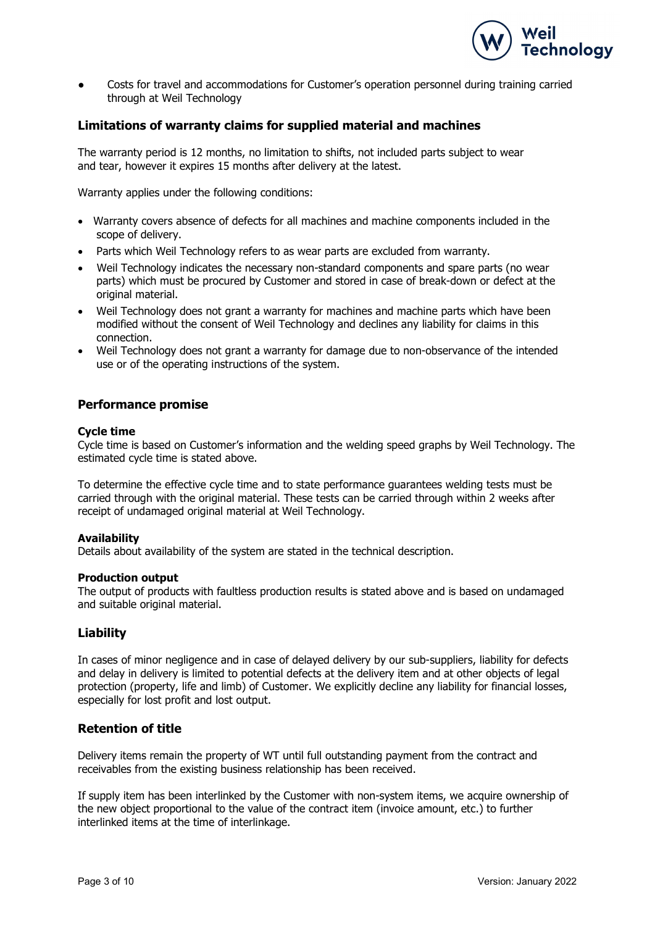

Costs for travel and accommodations for Customer's operation personnel during training carried through at Weil Technology

## Limitations of warranty claims for supplied material and machines

The warranty period is 12 months, no limitation to shifts, not included parts subject to wear and tear, however it expires 15 months after delivery at the latest.

Warranty applies under the following conditions:

- Warranty covers absence of defects for all machines and machine components included in the scope of delivery.
- Parts which Weil Technology refers to as wear parts are excluded from warranty.
- Weil Technology indicates the necessary non-standard components and spare parts (no wear parts) which must be procured by Customer and stored in case of break-down or defect at the original material.
- Weil Technology does not grant a warranty for machines and machine parts which have been modified without the consent of Weil Technology and declines any liability for claims in this connection.
- Weil Technology does not grant a warranty for damage due to non-observance of the intended use or of the operating instructions of the system.

### Performance promise

#### Cycle time

Cycle time is based on Customer's information and the welding speed graphs by Weil Technology. The estimated cycle time is stated above.

To determine the effective cycle time and to state performance guarantees welding tests must be carried through with the original material. These tests can be carried through within 2 weeks after receipt of undamaged original material at Weil Technology.

#### **Availability**

Details about availability of the system are stated in the technical description.

#### Production output

The output of products with faultless production results is stated above and is based on undamaged and suitable original material.

### Liability

In cases of minor negligence and in case of delayed delivery by our sub-suppliers, liability for defects and delay in delivery is limited to potential defects at the delivery item and at other objects of legal protection (property, life and limb) of Customer. We explicitly decline any liability for financial losses, especially for lost profit and lost output.

## Retention of title

Delivery items remain the property of WT until full outstanding payment from the contract and receivables from the existing business relationship has been received.

If supply item has been interlinked by the Customer with non-system items, we acquire ownership of the new object proportional to the value of the contract item (invoice amount, etc.) to further interlinked items at the time of interlinkage.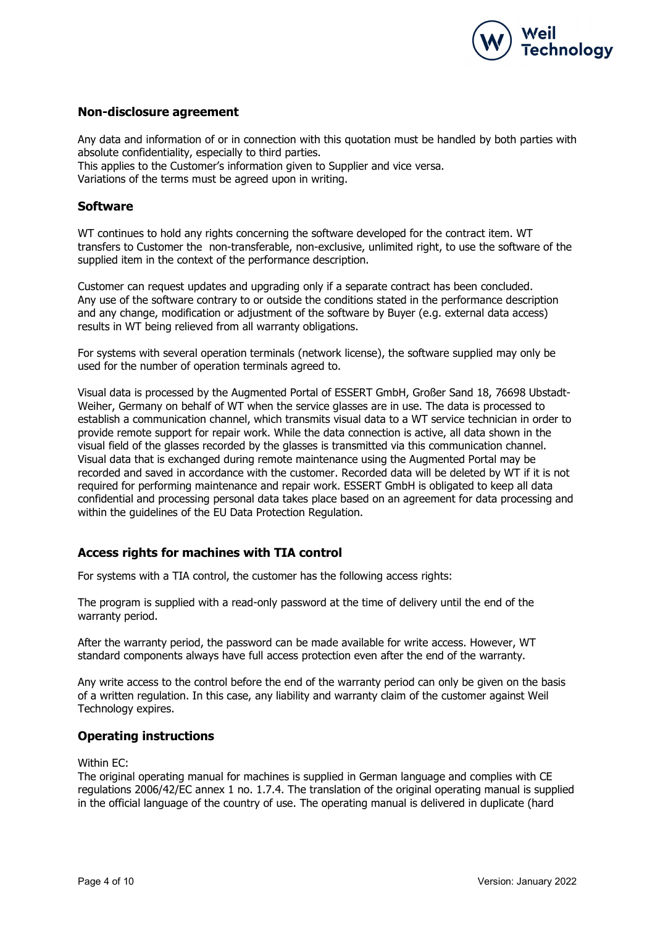

### Non-disclosure agreement

Any data and information of or in connection with this quotation must be handled by both parties with absolute confidentiality, especially to third parties.

This applies to the Customer's information given to Supplier and vice versa.

Variations of the terms must be agreed upon in writing.

### Software

WT continues to hold any rights concerning the software developed for the contract item. WT transfers to Customer the non-transferable, non-exclusive, unlimited right, to use the software of the supplied item in the context of the performance description.

Customer can request updates and upgrading only if a separate contract has been concluded. Any use of the software contrary to or outside the conditions stated in the performance description and any change, modification or adjustment of the software by Buyer (e.g. external data access) results in WT being relieved from all warranty obligations.

For systems with several operation terminals (network license), the software supplied may only be used for the number of operation terminals agreed to.

Visual data is processed by the Augmented Portal of ESSERT GmbH, Großer Sand 18, 76698 Ubstadt-Weiher, Germany on behalf of WT when the service glasses are in use. The data is processed to establish a communication channel, which transmits visual data to a WT service technician in order to provide remote support for repair work. While the data connection is active, all data shown in the visual field of the glasses recorded by the glasses is transmitted via this communication channel. Visual data that is exchanged during remote maintenance using the Augmented Portal may be recorded and saved in accordance with the customer. Recorded data will be deleted by WT if it is not required for performing maintenance and repair work. ESSERT GmbH is obligated to keep all data confidential and processing personal data takes place based on an agreement for data processing and within the guidelines of the EU Data Protection Regulation.

# Access rights for machines with TIA control

For systems with a TIA control, the customer has the following access rights:

The program is supplied with a read-only password at the time of delivery until the end of the warranty period.

After the warranty period, the password can be made available for write access. However, WT standard components always have full access protection even after the end of the warranty.

Any write access to the control before the end of the warranty period can only be given on the basis of a written regulation. In this case, any liability and warranty claim of the customer against Weil Technology expires.

### Operating instructions

#### Within EC:

The original operating manual for machines is supplied in German language and complies with CE regulations 2006/42/EC annex 1 no. 1.7.4. The translation of the original operating manual is supplied in the official language of the country of use. The operating manual is delivered in duplicate (hard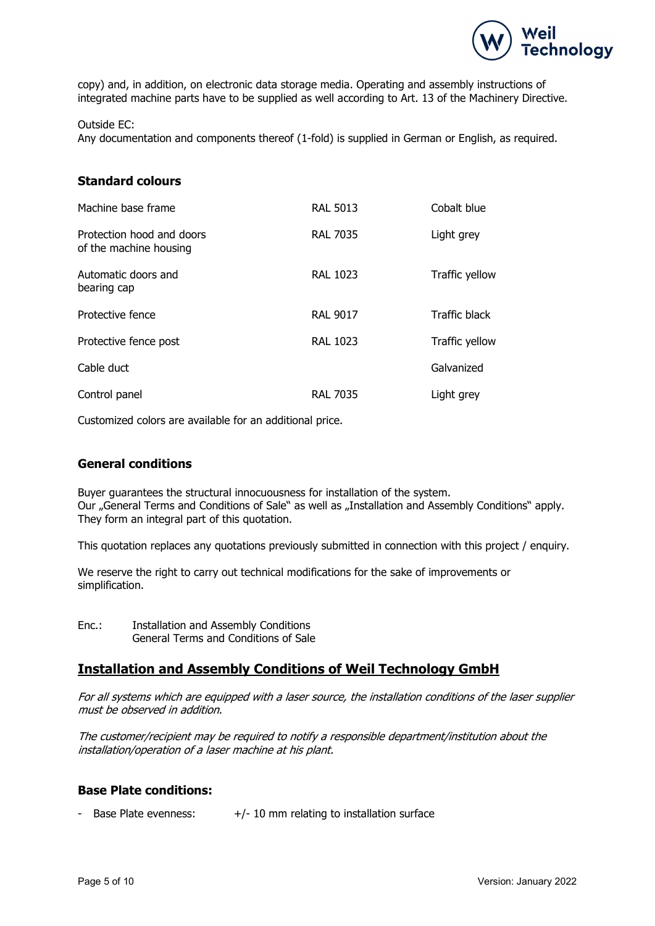

copy) and, in addition, on electronic data storage media. Operating and assembly instructions of integrated machine parts have to be supplied as well according to Art. 13 of the Machinery Directive.

#### Outside EC:

Any documentation and components thereof (1-fold) is supplied in German or English, as required.

## Standard colours

| Machine base frame                                  | <b>RAL 5013</b> | Cobalt blue    |
|-----------------------------------------------------|-----------------|----------------|
| Protection hood and doors<br>of the machine housing | <b>RAL 7035</b> | Light grey     |
| Automatic doors and<br>bearing cap                  | <b>RAL 1023</b> | Traffic yellow |
| Protective fence                                    | <b>RAL 9017</b> | Traffic black  |
| Protective fence post                               | <b>RAL 1023</b> | Traffic yellow |
| Cable duct                                          |                 | Galvanized     |
| Control panel                                       | <b>RAL 7035</b> | Light grey     |

Customized colors are available for an additional price.

## General conditions

Buyer guarantees the structural innocuousness for installation of the system. Our "General Terms and Conditions of Sale" as well as "Installation and Assembly Conditions" apply. They form an integral part of this quotation.

This quotation replaces any quotations previously submitted in connection with this project / enquiry.

We reserve the right to carry out technical modifications for the sake of improvements or simplification.

Enc.: Installation and Assembly Conditions General Terms and Conditions of Sale

# Installation and Assembly Conditions of Weil Technology GmbH

For all systems which are equipped with a laser source, the installation conditions of the laser supplier must be observed in addition.

The customer/recipient may be required to notify a responsible department/institution about the installation/operation of a laser machine at his plant.

### Base Plate conditions:

- Base Plate evenness:  $+/- 10$  mm relating to installation surface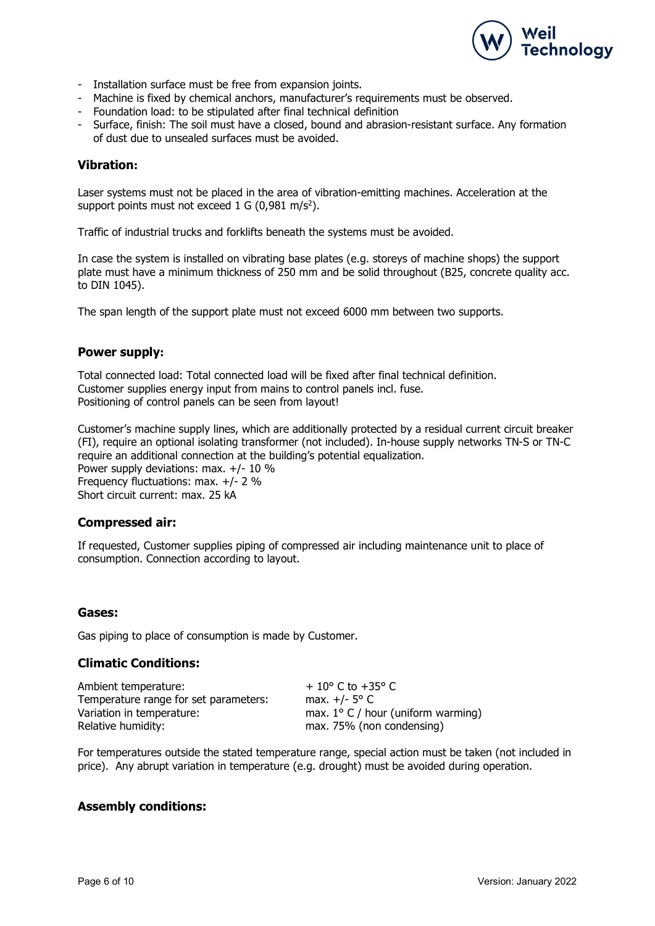

- Installation surface must be free from expansion joints.
- Machine is fixed by chemical anchors, manufacturer's requirements must be observed.
- Foundation load: to be stipulated after final technical definition
- Surface, finish: The soil must have a closed, bound and abrasion-resistant surface. Any formation of dust due to unsealed surfaces must be avoided.

### Vibration:

Laser systems must not be placed in the area of vibration-emitting machines. Acceleration at the support points must not exceed 1 G  $(0.981 \text{ m/s}^2)$ .

Traffic of industrial trucks and forklifts beneath the systems must be avoided.

In case the system is installed on vibrating base plates (e.g. storeys of machine shops) the support plate must have a minimum thickness of 250 mm and be solid throughout (B25, concrete quality acc. to DIN 1045).

The span length of the support plate must not exceed 6000 mm between two supports.

### Power supply:

Total connected load: Total connected load will be fixed after final technical definition. Customer supplies energy input from mains to control panels incl. fuse. Positioning of control panels can be seen from layout!

Customer's machine supply lines, which are additionally protected by a residual current circuit breaker (FI), require an optional isolating transformer (not included). In-house supply networks TN-S or TN-C require an additional connection at the building's potential equalization. Power supply deviations: max. +/- 10 % Frequency fluctuations: max. +/- 2 % Short circuit current: max. 25 kA

### Compressed air:

If requested, Customer supplies piping of compressed air including maintenance unit to place of consumption. Connection according to layout.

### Gases:

Gas piping to place of consumption is made by Customer.

### Climatic Conditions:

Ambient temperature:  $+10^{\circ}$  C to +35° C Temperature range for set parameters: max. +/- 5° C Variation in temperature: max. 1° C / hour (uniform warming) Relative humidity: max. 75% (non condensing)

For temperatures outside the stated temperature range, special action must be taken (not included in price). Any abrupt variation in temperature (e.g. drought) must be avoided during operation.

### Assembly conditions: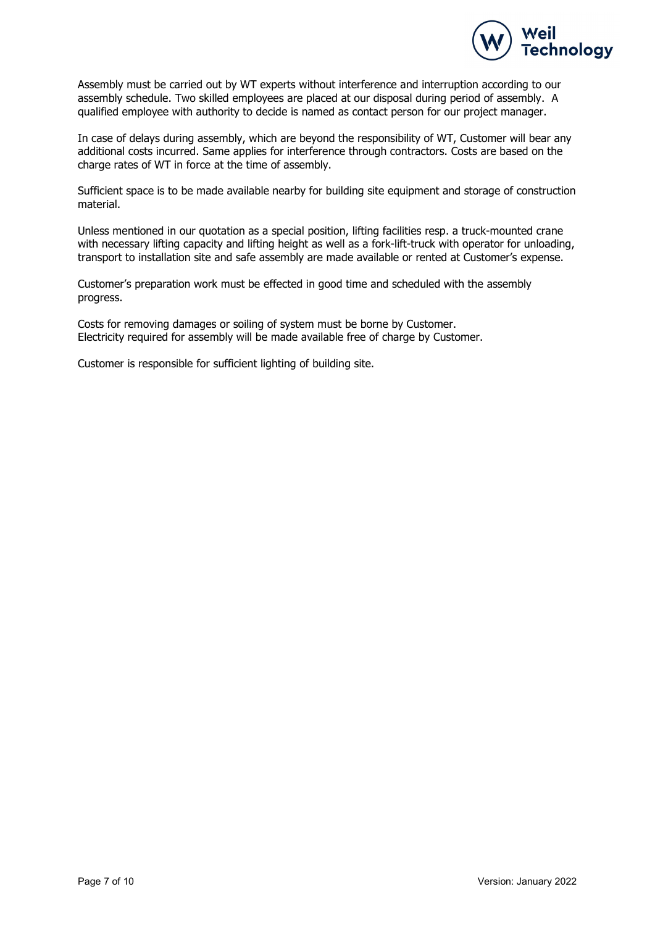

Assembly must be carried out by WT experts without interference and interruption according to our assembly schedule. Two skilled employees are placed at our disposal during period of assembly. A qualified employee with authority to decide is named as contact person for our project manager.

In case of delays during assembly, which are beyond the responsibility of WT, Customer will bear any additional costs incurred. Same applies for interference through contractors. Costs are based on the charge rates of WT in force at the time of assembly.

Sufficient space is to be made available nearby for building site equipment and storage of construction material.

Unless mentioned in our quotation as a special position, lifting facilities resp. a truck-mounted crane with necessary lifting capacity and lifting height as well as a fork-lift-truck with operator for unloading, transport to installation site and safe assembly are made available or rented at Customer's expense.

Customer's preparation work must be effected in good time and scheduled with the assembly progress.

Costs for removing damages or soiling of system must be borne by Customer. Electricity required for assembly will be made available free of charge by Customer.

Customer is responsible for sufficient lighting of building site.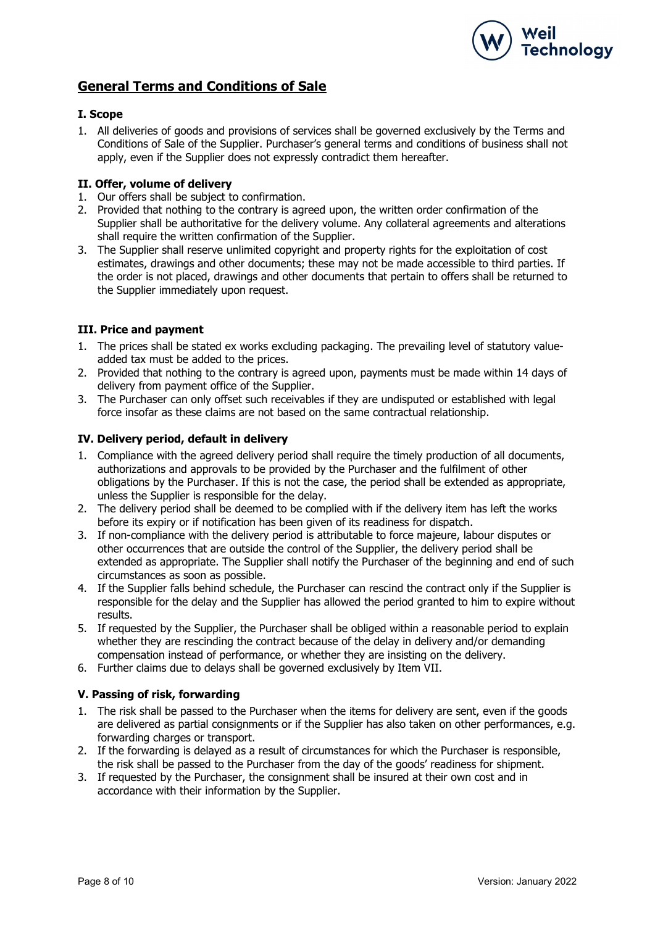

# General Terms and Conditions of Sale

### I. Scope

1. All deliveries of goods and provisions of services shall be governed exclusively by the Terms and Conditions of Sale of the Supplier. Purchaser's general terms and conditions of business shall not apply, even if the Supplier does not expressly contradict them hereafter.

### II. Offer, volume of delivery

- 1. Our offers shall be subject to confirmation.
- 2. Provided that nothing to the contrary is agreed upon, the written order confirmation of the Supplier shall be authoritative for the delivery volume. Any collateral agreements and alterations shall require the written confirmation of the Supplier.
- 3. The Supplier shall reserve unlimited copyright and property rights for the exploitation of cost estimates, drawings and other documents; these may not be made accessible to third parties. If the order is not placed, drawings and other documents that pertain to offers shall be returned to the Supplier immediately upon request.

### III. Price and payment

- 1. The prices shall be stated ex works excluding packaging. The prevailing level of statutory valueadded tax must be added to the prices.
- 2. Provided that nothing to the contrary is agreed upon, payments must be made within 14 days of delivery from payment office of the Supplier.
- 3. The Purchaser can only offset such receivables if they are undisputed or established with legal force insofar as these claims are not based on the same contractual relationship.

### IV. Delivery period, default in delivery

- 1. Compliance with the agreed delivery period shall require the timely production of all documents, authorizations and approvals to be provided by the Purchaser and the fulfilment of other obligations by the Purchaser. If this is not the case, the period shall be extended as appropriate, unless the Supplier is responsible for the delay.
- 2. The delivery period shall be deemed to be complied with if the delivery item has left the works before its expiry or if notification has been given of its readiness for dispatch.
- 3. If non-compliance with the delivery period is attributable to force majeure, labour disputes or other occurrences that are outside the control of the Supplier, the delivery period shall be extended as appropriate. The Supplier shall notify the Purchaser of the beginning and end of such circumstances as soon as possible.
- 4. If the Supplier falls behind schedule, the Purchaser can rescind the contract only if the Supplier is responsible for the delay and the Supplier has allowed the period granted to him to expire without results.
- 5. If requested by the Supplier, the Purchaser shall be obliged within a reasonable period to explain whether they are rescinding the contract because of the delay in delivery and/or demanding compensation instead of performance, or whether they are insisting on the delivery.
- 6. Further claims due to delays shall be governed exclusively by Item VII.

### V. Passing of risk, forwarding

- 1. The risk shall be passed to the Purchaser when the items for delivery are sent, even if the goods are delivered as partial consignments or if the Supplier has also taken on other performances, e.g. forwarding charges or transport.
- 2. If the forwarding is delayed as a result of circumstances for which the Purchaser is responsible, the risk shall be passed to the Purchaser from the day of the goods' readiness for shipment.
- 3. If requested by the Purchaser, the consignment shall be insured at their own cost and in accordance with their information by the Supplier.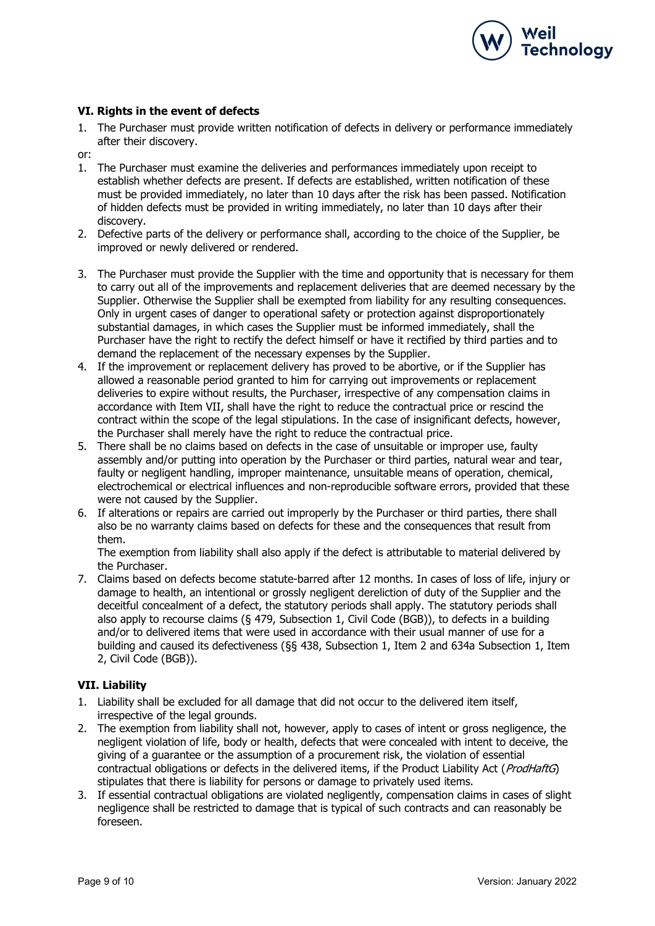

### VI. Rights in the event of defects

- 1. The Purchaser must provide written notification of defects in delivery or performance immediately after their discovery.
- or:
- 1. The Purchaser must examine the deliveries and performances immediately upon receipt to establish whether defects are present. If defects are established, written notification of these must be provided immediately, no later than 10 days after the risk has been passed. Notification of hidden defects must be provided in writing immediately, no later than 10 days after their discovery.
- 2. Defective parts of the delivery or performance shall, according to the choice of the Supplier, be improved or newly delivered or rendered.
- 3. The Purchaser must provide the Supplier with the time and opportunity that is necessary for them to carry out all of the improvements and replacement deliveries that are deemed necessary by the Supplier. Otherwise the Supplier shall be exempted from liability for any resulting consequences. Only in urgent cases of danger to operational safety or protection against disproportionately substantial damages, in which cases the Supplier must be informed immediately, shall the Purchaser have the right to rectify the defect himself or have it rectified by third parties and to demand the replacement of the necessary expenses by the Supplier.
- 4. If the improvement or replacement delivery has proved to be abortive, or if the Supplier has allowed a reasonable period granted to him for carrying out improvements or replacement deliveries to expire without results, the Purchaser, irrespective of any compensation claims in accordance with Item VII, shall have the right to reduce the contractual price or rescind the contract within the scope of the legal stipulations. In the case of insignificant defects, however, the Purchaser shall merely have the right to reduce the contractual price.
- 5. There shall be no claims based on defects in the case of unsuitable or improper use, faulty assembly and/or putting into operation by the Purchaser or third parties, natural wear and tear, faulty or negligent handling, improper maintenance, unsuitable means of operation, chemical, electrochemical or electrical influences and non-reproducible software errors, provided that these were not caused by the Supplier.
- 6. If alterations or repairs are carried out improperly by the Purchaser or third parties, there shall also be no warranty claims based on defects for these and the consequences that result from them.

The exemption from liability shall also apply if the defect is attributable to material delivered by the Purchaser.

7. Claims based on defects become statute-barred after 12 months. In cases of loss of life, injury or damage to health, an intentional or grossly negligent dereliction of duty of the Supplier and the deceitful concealment of a defect, the statutory periods shall apply. The statutory periods shall also apply to recourse claims (§ 479, Subsection 1, Civil Code (BGB)), to defects in a building and/or to delivered items that were used in accordance with their usual manner of use for a building and caused its defectiveness (§§ 438, Subsection 1, Item 2 and 634a Subsection 1, Item 2, Civil Code (BGB)).

### VII. Liability

- 1. Liability shall be excluded for all damage that did not occur to the delivered item itself, irrespective of the legal grounds.
- 2. The exemption from liability shall not, however, apply to cases of intent or gross negligence, the negligent violation of life, body or health, defects that were concealed with intent to deceive, the giving of a guarantee or the assumption of a procurement risk, the violation of essential contractual obligations or defects in the delivered items, if the Product Liability Act (ProdHaftG) stipulates that there is liability for persons or damage to privately used items.
- 3. If essential contractual obligations are violated negligently, compensation claims in cases of slight negligence shall be restricted to damage that is typical of such contracts and can reasonably be foreseen.